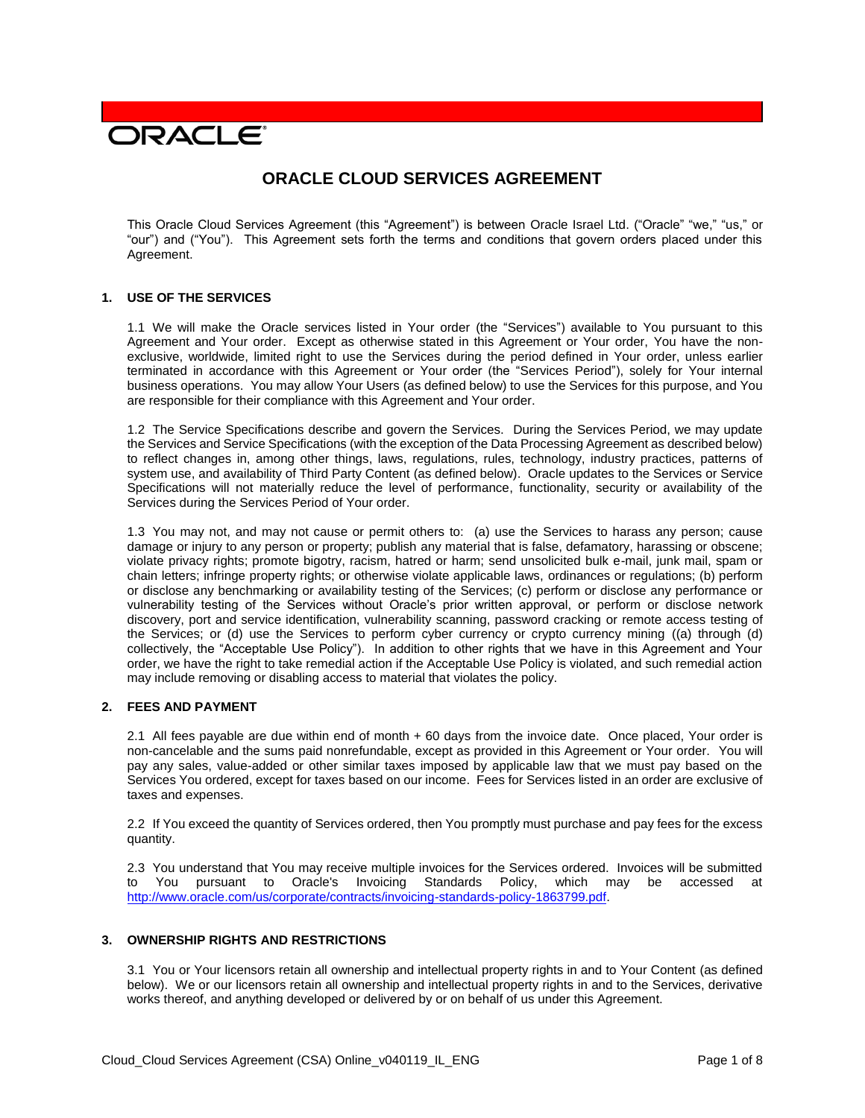# **DRACLE**

# **ORACLE CLOUD SERVICES AGREEMENT**

This Oracle Cloud Services Agreement (this "Agreement") is between Oracle Israel Ltd. ("Oracle" "we," "us," or "our") and ("You"). This Agreement sets forth the terms and conditions that govern orders placed under this Agreement.

#### **1. USE OF THE SERVICES**

1.1 We will make the Oracle services listed in Your order (the "Services") available to You pursuant to this Agreement and Your order. Except as otherwise stated in this Agreement or Your order, You have the nonexclusive, worldwide, limited right to use the Services during the period defined in Your order, unless earlier terminated in accordance with this Agreement or Your order (the "Services Period"), solely for Your internal business operations. You may allow Your Users (as defined below) to use the Services for this purpose, and You are responsible for their compliance with this Agreement and Your order.

1.2 The Service Specifications describe and govern the Services. During the Services Period, we may update the Services and Service Specifications (with the exception of the Data Processing Agreement as described below) to reflect changes in, among other things, laws, regulations, rules, technology, industry practices, patterns of system use, and availability of Third Party Content (as defined below). Oracle updates to the Services or Service Specifications will not materially reduce the level of performance, functionality, security or availability of the Services during the Services Period of Your order.

1.3 You may not, and may not cause or permit others to: (a) use the Services to harass any person; cause damage or injury to any person or property; publish any material that is false, defamatory, harassing or obscene; violate privacy rights; promote bigotry, racism, hatred or harm; send unsolicited bulk e-mail, junk mail, spam or chain letters; infringe property rights; or otherwise violate applicable laws, ordinances or regulations; (b) perform or disclose any benchmarking or availability testing of the Services; (c) perform or disclose any performance or vulnerability testing of the Services without Oracle's prior written approval, or perform or disclose network discovery, port and service identification, vulnerability scanning, password cracking or remote access testing of the Services; or (d) use the Services to perform cyber currency or crypto currency mining ((a) through (d) collectively, the "Acceptable Use Policy"). In addition to other rights that we have in this Agreement and Your order, we have the right to take remedial action if the Acceptable Use Policy is violated, and such remedial action may include removing or disabling access to material that violates the policy.

## **2. FEES AND PAYMENT**

2.1 All fees payable are due within end of month + 60 days from the invoice date. Once placed, Your order is non-cancelable and the sums paid nonrefundable, except as provided in this Agreement or Your order. You will pay any sales, value-added or other similar taxes imposed by applicable law that we must pay based on the Services You ordered, except for taxes based on our income. Fees for Services listed in an order are exclusive of taxes and expenses.

2.2 If You exceed the quantity of Services ordered, then You promptly must purchase and pay fees for the excess quantity.

2.3 You understand that You may receive multiple invoices for the Services ordered. Invoices will be submitted to You pursuant to Oracle's Invoicing Standards Policy, which may be accessed at [http://www.oracle.com/us/corporate/contracts/invoicing-standards-policy-1863799.pdf.](http://www.oracle.com/us/corporate/contracts/invoicing-standards-policy-1863799.pdf)

#### **3. OWNERSHIP RIGHTS AND RESTRICTIONS**

3.1 You or Your licensors retain all ownership and intellectual property rights in and to Your Content (as defined below). We or our licensors retain all ownership and intellectual property rights in and to the Services, derivative works thereof, and anything developed or delivered by or on behalf of us under this Agreement.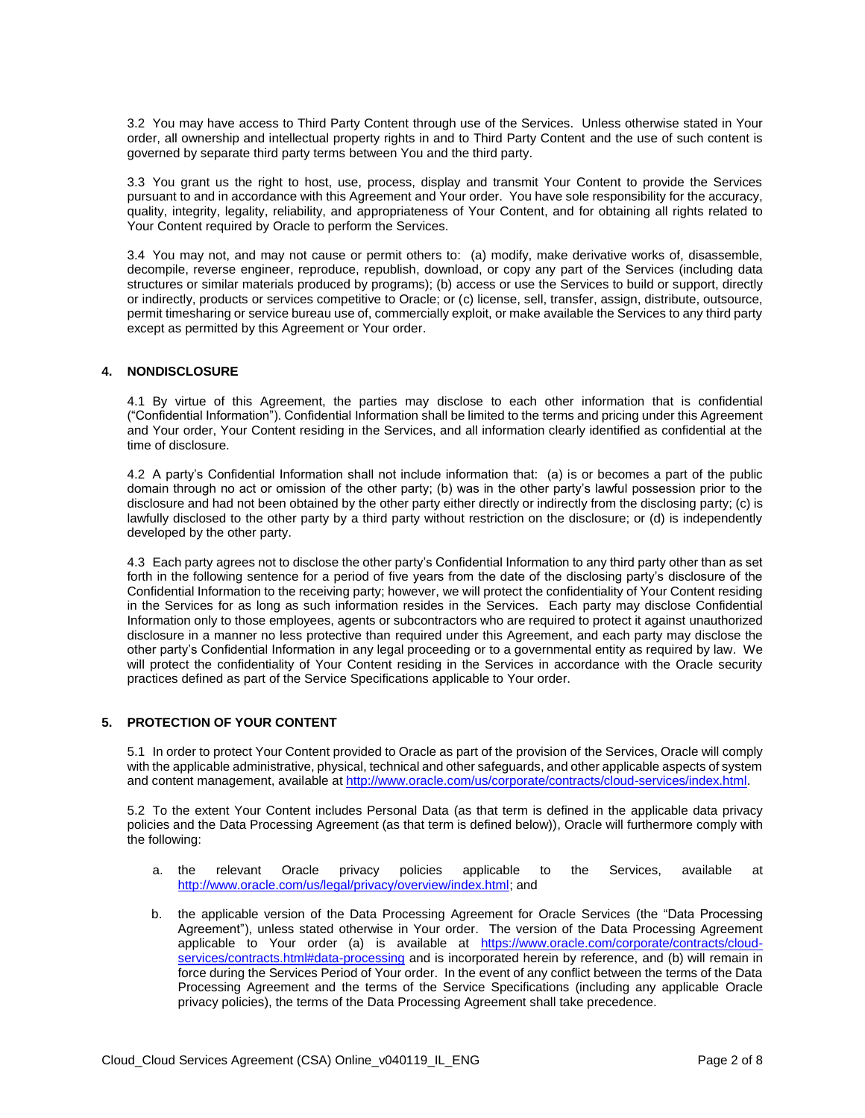3.2 You may have access to Third Party Content through use of the Services. Unless otherwise stated in Your order, all ownership and intellectual property rights in and to Third Party Content and the use of such content is governed by separate third party terms between You and the third party.

3.3 You grant us the right to host, use, process, display and transmit Your Content to provide the Services pursuant to and in accordance with this Agreement and Your order. You have sole responsibility for the accuracy, quality, integrity, legality, reliability, and appropriateness of Your Content, and for obtaining all rights related to Your Content required by Oracle to perform the Services.

3.4 You may not, and may not cause or permit others to: (a) modify, make derivative works of, disassemble, decompile, reverse engineer, reproduce, republish, download, or copy any part of the Services (including data structures or similar materials produced by programs); (b) access or use the Services to build or support, directly or indirectly, products or services competitive to Oracle; or (c) license, sell, transfer, assign, distribute, outsource, permit timesharing or service bureau use of, commercially exploit, or make available the Services to any third party except as permitted by this Agreement or Your order.

#### **4. NONDISCLOSURE**

4.1 By virtue of this Agreement, the parties may disclose to each other information that is confidential ("Confidential Information"). Confidential Information shall be limited to the terms and pricing under this Agreement and Your order, Your Content residing in the Services, and all information clearly identified as confidential at the time of disclosure.

4.2 A party's Confidential Information shall not include information that: (a) is or becomes a part of the public domain through no act or omission of the other party; (b) was in the other party's lawful possession prior to the disclosure and had not been obtained by the other party either directly or indirectly from the disclosing party; (c) is lawfully disclosed to the other party by a third party without restriction on the disclosure; or (d) is independently developed by the other party.

4.3 Each party agrees not to disclose the other party's Confidential Information to any third party other than as set forth in the following sentence for a period of five years from the date of the disclosing party's disclosure of the Confidential Information to the receiving party; however, we will protect the confidentiality of Your Content residing in the Services for as long as such information resides in the Services. Each party may disclose Confidential Information only to those employees, agents or subcontractors who are required to protect it against unauthorized disclosure in a manner no less protective than required under this Agreement, and each party may disclose the other party's Confidential Information in any legal proceeding or to a governmental entity as required by law. We will protect the confidentiality of Your Content residing in the Services in accordance with the Oracle security practices defined as part of the Service Specifications applicable to Your order.

# **5. PROTECTION OF YOUR CONTENT**

5.1 In order to protect Your Content provided to Oracle as part of the provision of the Services, Oracle will comply with the applicable administrative, physical, technical and other safeguards, and other applicable aspects of system and content management, available at [http://www.oracle.com/us/corporate/contracts/cloud-services/index.html.](http://www.oracle.com/us/corporate/contracts/cloud-services/index.html)

5.2 To the extent Your Content includes Personal Data (as that term is defined in the applicable data privacy policies and the Data Processing Agreement (as that term is defined below)), Oracle will furthermore comply with the following:

- a. the relevant Oracle privacy policies applicable to the Services, available at [http://www.oracle.com/us/legal/privacy/overview/index.html;](http://www.oracle.com/us/legal/privacy/overview/index.html) and
- b. the applicable version of the Data Processing Agreement for Oracle Services (the "Data Processing Agreement"), unless stated otherwise in Your order. The version of the Data Processing Agreement applicable to Your order (a) is available at [https://www.oracle.com/corporate/contracts/cloud](https://www.oracle.com/corporate/contracts/cloud-services/contracts.html#data-processing)[services/contracts.html#data-processing](https://www.oracle.com/corporate/contracts/cloud-services/contracts.html#data-processing) and is incorporated herein by reference, and (b) will remain in force during the Services Period of Your order. In the event of any conflict between the terms of the Data Processing Agreement and the terms of the Service Specifications (including any applicable Oracle privacy policies), the terms of the Data Processing Agreement shall take precedence.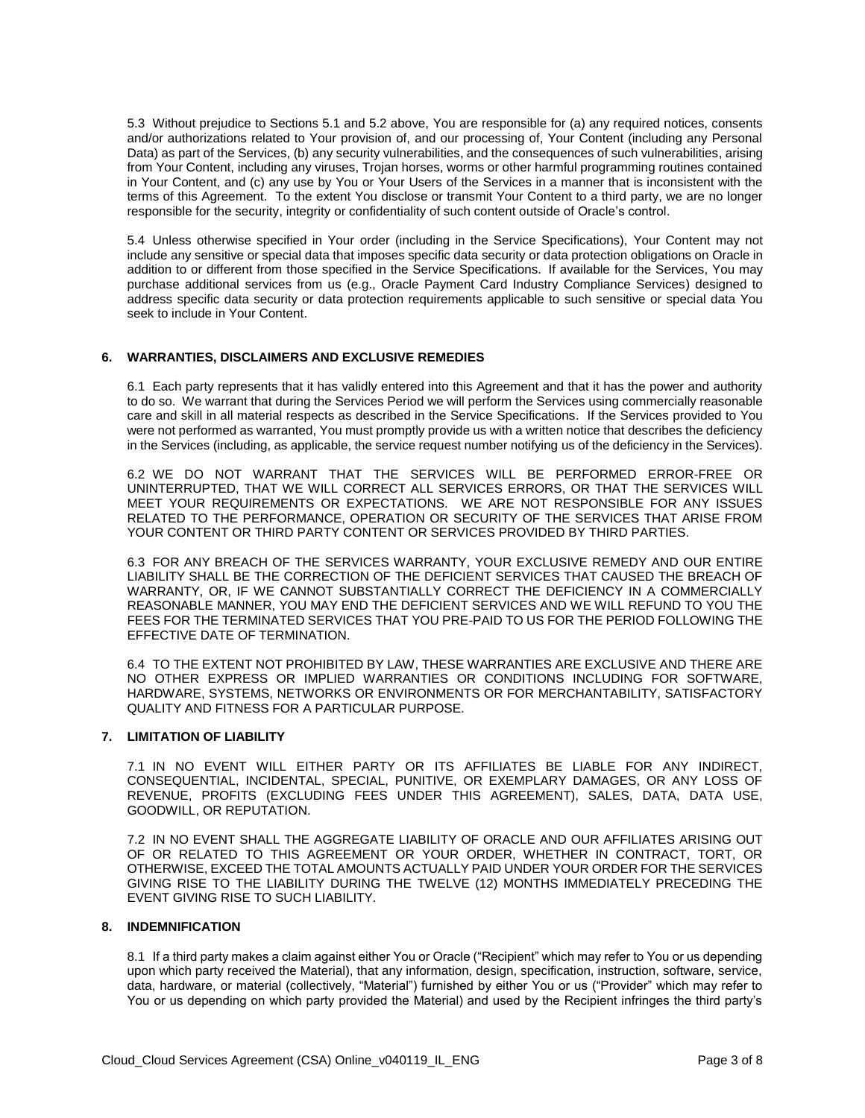5.3 Without prejudice to Sections 5.1 and 5.2 above, You are responsible for (a) any required notices, consents and/or authorizations related to Your provision of, and our processing of, Your Content (including any Personal Data) as part of the Services, (b) any security vulnerabilities, and the consequences of such vulnerabilities, arising from Your Content, including any viruses, Trojan horses, worms or other harmful programming routines contained in Your Content, and (c) any use by You or Your Users of the Services in a manner that is inconsistent with the terms of this Agreement. To the extent You disclose or transmit Your Content to a third party, we are no longer responsible for the security, integrity or confidentiality of such content outside of Oracle's control.

5.4 Unless otherwise specified in Your order (including in the Service Specifications), Your Content may not include any sensitive or special data that imposes specific data security or data protection obligations on Oracle in addition to or different from those specified in the Service Specifications. If available for the Services, You may purchase additional services from us (e.g., Oracle Payment Card Industry Compliance Services) designed to address specific data security or data protection requirements applicable to such sensitive or special data You seek to include in Your Content.

## **6. WARRANTIES, DISCLAIMERS AND EXCLUSIVE REMEDIES**

6.1 Each party represents that it has validly entered into this Agreement and that it has the power and authority to do so. We warrant that during the Services Period we will perform the Services using commercially reasonable care and skill in all material respects as described in the Service Specifications. If the Services provided to You were not performed as warranted, You must promptly provide us with a written notice that describes the deficiency in the Services (including, as applicable, the service request number notifying us of the deficiency in the Services).

6.2 WE DO NOT WARRANT THAT THE SERVICES WILL BE PERFORMED ERROR-FREE OR UNINTERRUPTED, THAT WE WILL CORRECT ALL SERVICES ERRORS, OR THAT THE SERVICES WILL MEET YOUR REQUIREMENTS OR EXPECTATIONS. WE ARE NOT RESPONSIBLE FOR ANY ISSUES RELATED TO THE PERFORMANCE, OPERATION OR SECURITY OF THE SERVICES THAT ARISE FROM YOUR CONTENT OR THIRD PARTY CONTENT OR SERVICES PROVIDED BY THIRD PARTIES.

6.3 FOR ANY BREACH OF THE SERVICES WARRANTY, YOUR EXCLUSIVE REMEDY AND OUR ENTIRE LIABILITY SHALL BE THE CORRECTION OF THE DEFICIENT SERVICES THAT CAUSED THE BREACH OF WARRANTY, OR, IF WE CANNOT SUBSTANTIALLY CORRECT THE DEFICIENCY IN A COMMERCIALLY REASONABLE MANNER, YOU MAY END THE DEFICIENT SERVICES AND WE WILL REFUND TO YOU THE FEES FOR THE TERMINATED SERVICES THAT YOU PRE-PAID TO US FOR THE PERIOD FOLLOWING THE EFFECTIVE DATE OF TERMINATION.

6.4 TO THE EXTENT NOT PROHIBITED BY LAW, THESE WARRANTIES ARE EXCLUSIVE AND THERE ARE NO OTHER EXPRESS OR IMPLIED WARRANTIES OR CONDITIONS INCLUDING FOR SOFTWARE, HARDWARE, SYSTEMS, NETWORKS OR ENVIRONMENTS OR FOR MERCHANTABILITY, SATISFACTORY QUALITY AND FITNESS FOR A PARTICULAR PURPOSE.

#### **7. LIMITATION OF LIABILITY**

7.1 IN NO EVENT WILL EITHER PARTY OR ITS AFFILIATES BE LIABLE FOR ANY INDIRECT, CONSEQUENTIAL, INCIDENTAL, SPECIAL, PUNITIVE, OR EXEMPLARY DAMAGES, OR ANY LOSS OF REVENUE, PROFITS (EXCLUDING FEES UNDER THIS AGREEMENT), SALES, DATA, DATA USE, GOODWILL, OR REPUTATION.

7.2 IN NO EVENT SHALL THE AGGREGATE LIABILITY OF ORACLE AND OUR AFFILIATES ARISING OUT OF OR RELATED TO THIS AGREEMENT OR YOUR ORDER, WHETHER IN CONTRACT, TORT, OR OTHERWISE, EXCEED THE TOTAL AMOUNTS ACTUALLY PAID UNDER YOUR ORDER FOR THE SERVICES GIVING RISE TO THE LIABILITY DURING THE TWELVE (12) MONTHS IMMEDIATELY PRECEDING THE EVENT GIVING RISE TO SUCH LIABILITY.

#### **8. INDEMNIFICATION**

8.1 If a third party makes a claim against either You or Oracle ("Recipient" which may refer to You or us depending upon which party received the Material), that any information, design, specification, instruction, software, service, data, hardware, or material (collectively, "Material") furnished by either You or us ("Provider" which may refer to You or us depending on which party provided the Material) and used by the Recipient infringes the third party's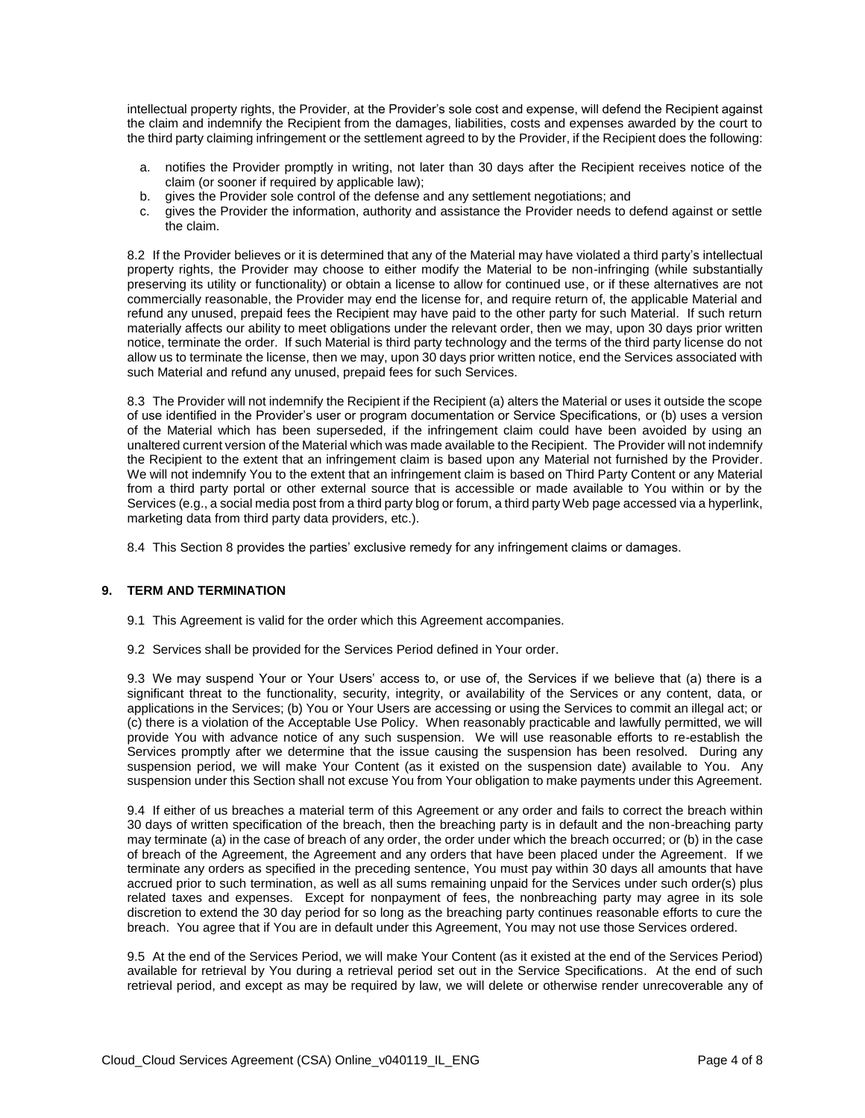intellectual property rights, the Provider, at the Provider's sole cost and expense, will defend the Recipient against the claim and indemnify the Recipient from the damages, liabilities, costs and expenses awarded by the court to the third party claiming infringement or the settlement agreed to by the Provider, if the Recipient does the following:

- a. notifies the Provider promptly in writing, not later than 30 days after the Recipient receives notice of the claim (or sooner if required by applicable law);
- b. gives the Provider sole control of the defense and any settlement negotiations; and
- c. gives the Provider the information, authority and assistance the Provider needs to defend against or settle the claim.

8.2 If the Provider believes or it is determined that any of the Material may have violated a third party's intellectual property rights, the Provider may choose to either modify the Material to be non-infringing (while substantially preserving its utility or functionality) or obtain a license to allow for continued use, or if these alternatives are not commercially reasonable, the Provider may end the license for, and require return of, the applicable Material and refund any unused, prepaid fees the Recipient may have paid to the other party for such Material. If such return materially affects our ability to meet obligations under the relevant order, then we may, upon 30 days prior written notice, terminate the order. If such Material is third party technology and the terms of the third party license do not allow us to terminate the license, then we may, upon 30 days prior written notice, end the Services associated with such Material and refund any unused, prepaid fees for such Services.

8.3 The Provider will not indemnify the Recipient if the Recipient (a) alters the Material or uses it outside the scope of use identified in the Provider's user or program documentation or Service Specifications, or (b) uses a version of the Material which has been superseded, if the infringement claim could have been avoided by using an unaltered current version of the Material which was made available to the Recipient. The Provider will not indemnify the Recipient to the extent that an infringement claim is based upon any Material not furnished by the Provider. We will not indemnify You to the extent that an infringement claim is based on Third Party Content or any Material from a third party portal or other external source that is accessible or made available to You within or by the Services (e.g., a social media post from a third party blog or forum, a third party Web page accessed via a hyperlink, marketing data from third party data providers, etc.).

8.4 This Section 8 provides the parties' exclusive remedy for any infringement claims or damages.

#### **9. TERM AND TERMINATION**

- 9.1 This Agreement is valid for the order which this Agreement accompanies.
- 9.2 Services shall be provided for the Services Period defined in Your order.

9.3 We may suspend Your or Your Users' access to, or use of, the Services if we believe that (a) there is a significant threat to the functionality, security, integrity, or availability of the Services or any content, data, or applications in the Services; (b) You or Your Users are accessing or using the Services to commit an illegal act; or (c) there is a violation of the Acceptable Use Policy. When reasonably practicable and lawfully permitted, we will provide You with advance notice of any such suspension. We will use reasonable efforts to re-establish the Services promptly after we determine that the issue causing the suspension has been resolved. During any suspension period, we will make Your Content (as it existed on the suspension date) available to You. Any suspension under this Section shall not excuse You from Your obligation to make payments under this Agreement.

9.4 If either of us breaches a material term of this Agreement or any order and fails to correct the breach within 30 days of written specification of the breach, then the breaching party is in default and the non-breaching party may terminate (a) in the case of breach of any order, the order under which the breach occurred; or (b) in the case of breach of the Agreement, the Agreement and any orders that have been placed under the Agreement. If we terminate any orders as specified in the preceding sentence, You must pay within 30 days all amounts that have accrued prior to such termination, as well as all sums remaining unpaid for the Services under such order(s) plus related taxes and expenses. Except for nonpayment of fees, the nonbreaching party may agree in its sole discretion to extend the 30 day period for so long as the breaching party continues reasonable efforts to cure the breach. You agree that if You are in default under this Agreement, You may not use those Services ordered.

9.5 At the end of the Services Period, we will make Your Content (as it existed at the end of the Services Period) available for retrieval by You during a retrieval period set out in the Service Specifications. At the end of such retrieval period, and except as may be required by law, we will delete or otherwise render unrecoverable any of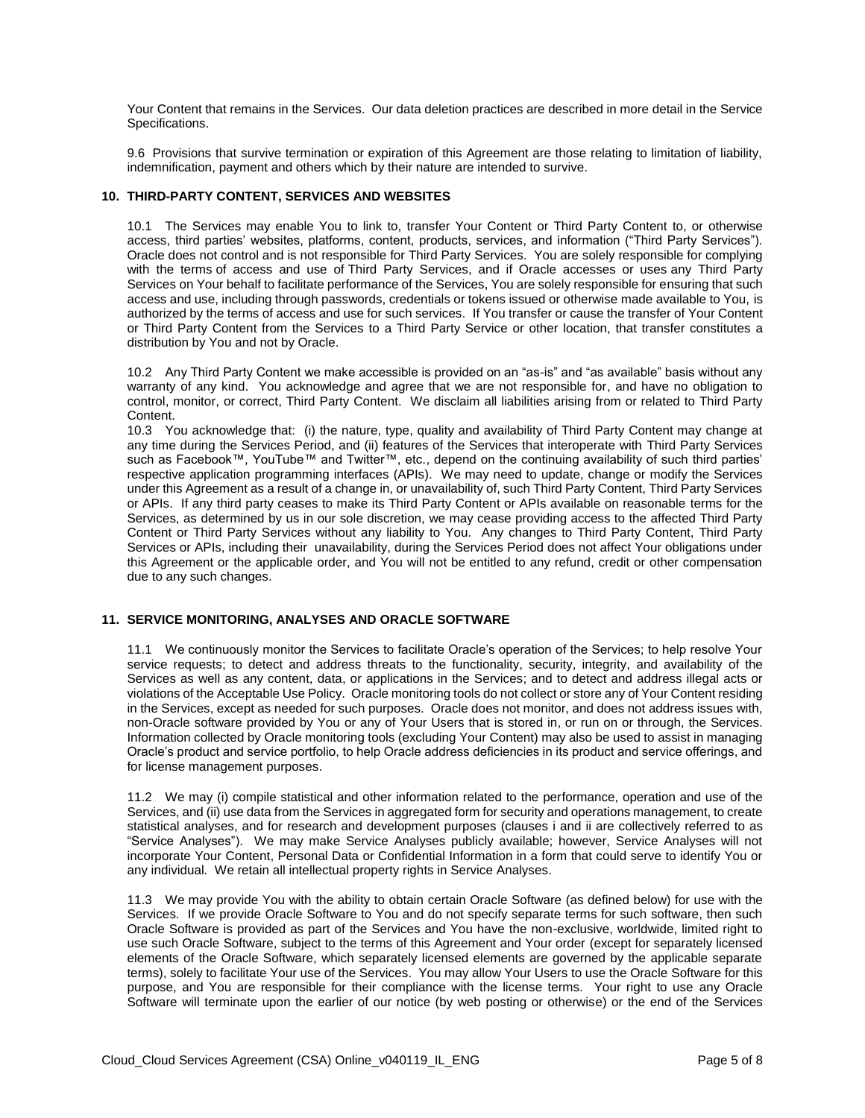Your Content that remains in the Services. Our data deletion practices are described in more detail in the Service Specifications.

9.6 Provisions that survive termination or expiration of this Agreement are those relating to limitation of liability, indemnification, payment and others which by their nature are intended to survive.

#### **10. THIRD-PARTY CONTENT, SERVICES AND WEBSITES**

10.1 The Services may enable You to link to, transfer Your Content or Third Party Content to, or otherwise access, third parties' websites, platforms, content, products, services, and information ("Third Party Services"). Oracle does not control and is not responsible for Third Party Services. You are solely responsible for complying with the terms of access and use of Third Party Services, and if Oracle accesses or uses any Third Party Services on Your behalf to facilitate performance of the Services, You are solely responsible for ensuring that such access and use, including through passwords, credentials or tokens issued or otherwise made available to You, is authorized by the terms of access and use for such services. If You transfer or cause the transfer of Your Content or Third Party Content from the Services to a Third Party Service or other location, that transfer constitutes a distribution by You and not by Oracle.

10.2 Any Third Party Content we make accessible is provided on an "as-is" and "as available" basis without any warranty of any kind. You acknowledge and agree that we are not responsible for, and have no obligation to control, monitor, or correct, Third Party Content. We disclaim all liabilities arising from or related to Third Party Content.

10.3 You acknowledge that: (i) the nature, type, quality and availability of Third Party Content may change at any time during the Services Period, and (ii) features of the Services that interoperate with Third Party Services such as Facebook™, YouTube™ and Twitter™, etc., depend on the continuing availability of such third parties' respective application programming interfaces (APIs). We may need to update, change or modify the Services under this Agreement as a result of a change in, or unavailability of, such Third Party Content, Third Party Services or APIs. If any third party ceases to make its Third Party Content or APIs available on reasonable terms for the Services, as determined by us in our sole discretion, we may cease providing access to the affected Third Party Content or Third Party Services without any liability to You. Any changes to Third Party Content, Third Party Services or APIs, including their unavailability, during the Services Period does not affect Your obligations under this Agreement or the applicable order, and You will not be entitled to any refund, credit or other compensation due to any such changes.

#### **11. SERVICE MONITORING, ANALYSES AND ORACLE SOFTWARE**

11.1 We continuously monitor the Services to facilitate Oracle's operation of the Services; to help resolve Your service requests; to detect and address threats to the functionality, security, integrity, and availability of the Services as well as any content, data, or applications in the Services; and to detect and address illegal acts or violations of the Acceptable Use Policy. Oracle monitoring tools do not collect or store any of Your Content residing in the Services, except as needed for such purposes. Oracle does not monitor, and does not address issues with, non-Oracle software provided by You or any of Your Users that is stored in, or run on or through, the Services. Information collected by Oracle monitoring tools (excluding Your Content) may also be used to assist in managing Oracle's product and service portfolio, to help Oracle address deficiencies in its product and service offerings, and for license management purposes.

11.2 We may (i) compile statistical and other information related to the performance, operation and use of the Services, and (ii) use data from the Services in aggregated form for security and operations management, to create statistical analyses, and for research and development purposes (clauses i and ii are collectively referred to as "Service Analyses"). We may make Service Analyses publicly available; however, Service Analyses will not incorporate Your Content, Personal Data or Confidential Information in a form that could serve to identify You or any individual. We retain all intellectual property rights in Service Analyses.

11.3 We may provide You with the ability to obtain certain Oracle Software (as defined below) for use with the Services. If we provide Oracle Software to You and do not specify separate terms for such software, then such Oracle Software is provided as part of the Services and You have the non-exclusive, worldwide, limited right to use such Oracle Software, subject to the terms of this Agreement and Your order (except for separately licensed elements of the Oracle Software, which separately licensed elements are governed by the applicable separate terms), solely to facilitate Your use of the Services. You may allow Your Users to use the Oracle Software for this purpose, and You are responsible for their compliance with the license terms. Your right to use any Oracle Software will terminate upon the earlier of our notice (by web posting or otherwise) or the end of the Services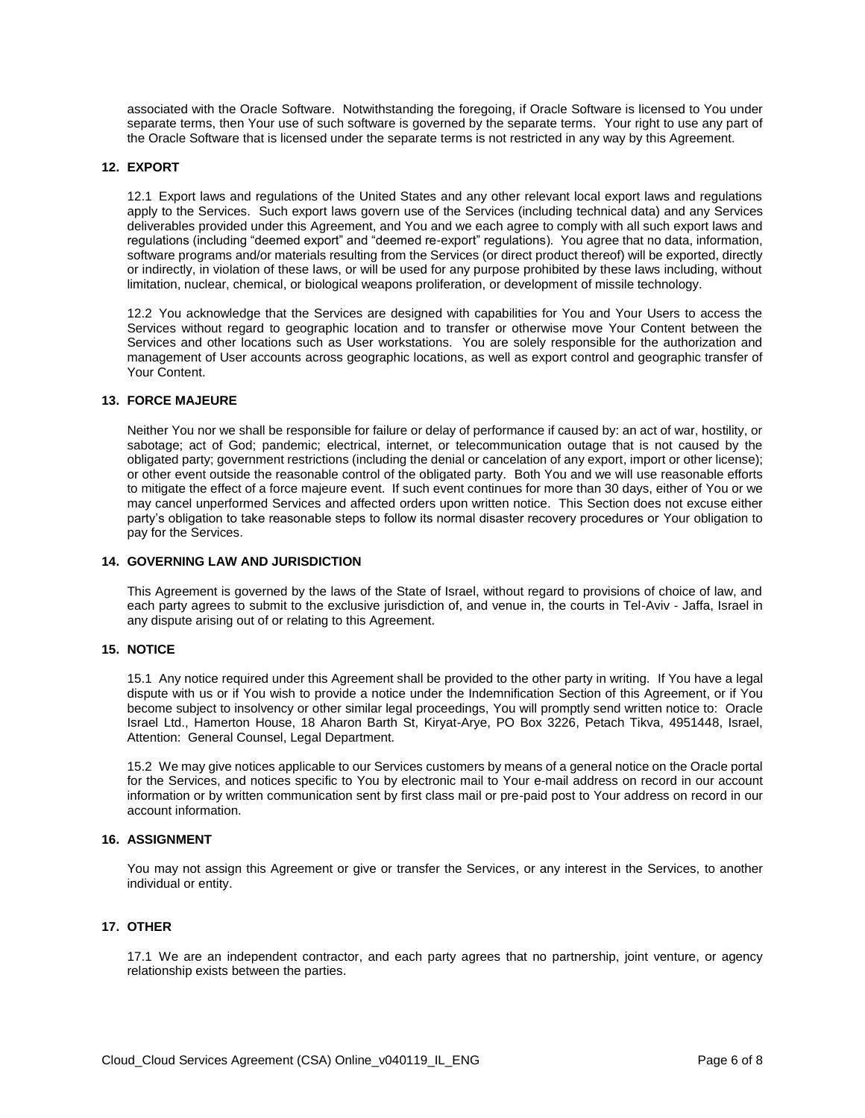associated with the Oracle Software. Notwithstanding the foregoing, if Oracle Software is licensed to You under separate terms, then Your use of such software is governed by the separate terms. Your right to use any part of the Oracle Software that is licensed under the separate terms is not restricted in any way by this Agreement.

#### **12. EXPORT**

12.1 Export laws and regulations of the United States and any other relevant local export laws and regulations apply to the Services. Such export laws govern use of the Services (including technical data) and any Services deliverables provided under this Agreement, and You and we each agree to comply with all such export laws and regulations (including "deemed export" and "deemed re-export" regulations). You agree that no data, information, software programs and/or materials resulting from the Services (or direct product thereof) will be exported, directly or indirectly, in violation of these laws, or will be used for any purpose prohibited by these laws including, without limitation, nuclear, chemical, or biological weapons proliferation, or development of missile technology.

12.2 You acknowledge that the Services are designed with capabilities for You and Your Users to access the Services without regard to geographic location and to transfer or otherwise move Your Content between the Services and other locations such as User workstations. You are solely responsible for the authorization and management of User accounts across geographic locations, as well as export control and geographic transfer of Your Content.

#### **13. FORCE MAJEURE**

Neither You nor we shall be responsible for failure or delay of performance if caused by: an act of war, hostility, or sabotage; act of God; pandemic; electrical, internet, or telecommunication outage that is not caused by the obligated party; government restrictions (including the denial or cancelation of any export, import or other license); or other event outside the reasonable control of the obligated party. Both You and we will use reasonable efforts to mitigate the effect of a force majeure event. If such event continues for more than 30 days, either of You or we may cancel unperformed Services and affected orders upon written notice. This Section does not excuse either party's obligation to take reasonable steps to follow its normal disaster recovery procedures or Your obligation to pay for the Services.

#### **14. GOVERNING LAW AND JURISDICTION**

This Agreement is governed by the laws of the State of Israel, without regard to provisions of choice of law, and each party agrees to submit to the exclusive jurisdiction of, and venue in, the courts in Tel-Aviv - Jaffa, Israel in any dispute arising out of or relating to this Agreement.

#### **15. NOTICE**

15.1 Any notice required under this Agreement shall be provided to the other party in writing. If You have a legal dispute with us or if You wish to provide a notice under the Indemnification Section of this Agreement, or if You become subject to insolvency or other similar legal proceedings, You will promptly send written notice to: Oracle Israel Ltd., Hamerton House, 18 Aharon Barth St, Kiryat-Arye, PO Box 3226, Petach Tikva, 4951448, Israel, Attention: General Counsel, Legal Department.

15.2 We may give notices applicable to our Services customers by means of a general notice on the Oracle portal for the Services, and notices specific to You by electronic mail to Your e-mail address on record in our account information or by written communication sent by first class mail or pre-paid post to Your address on record in our account information.

# **16. ASSIGNMENT**

You may not assign this Agreement or give or transfer the Services, or any interest in the Services, to another individual or entity.

#### **17. OTHER**

17.1 We are an independent contractor, and each party agrees that no partnership, joint venture, or agency relationship exists between the parties.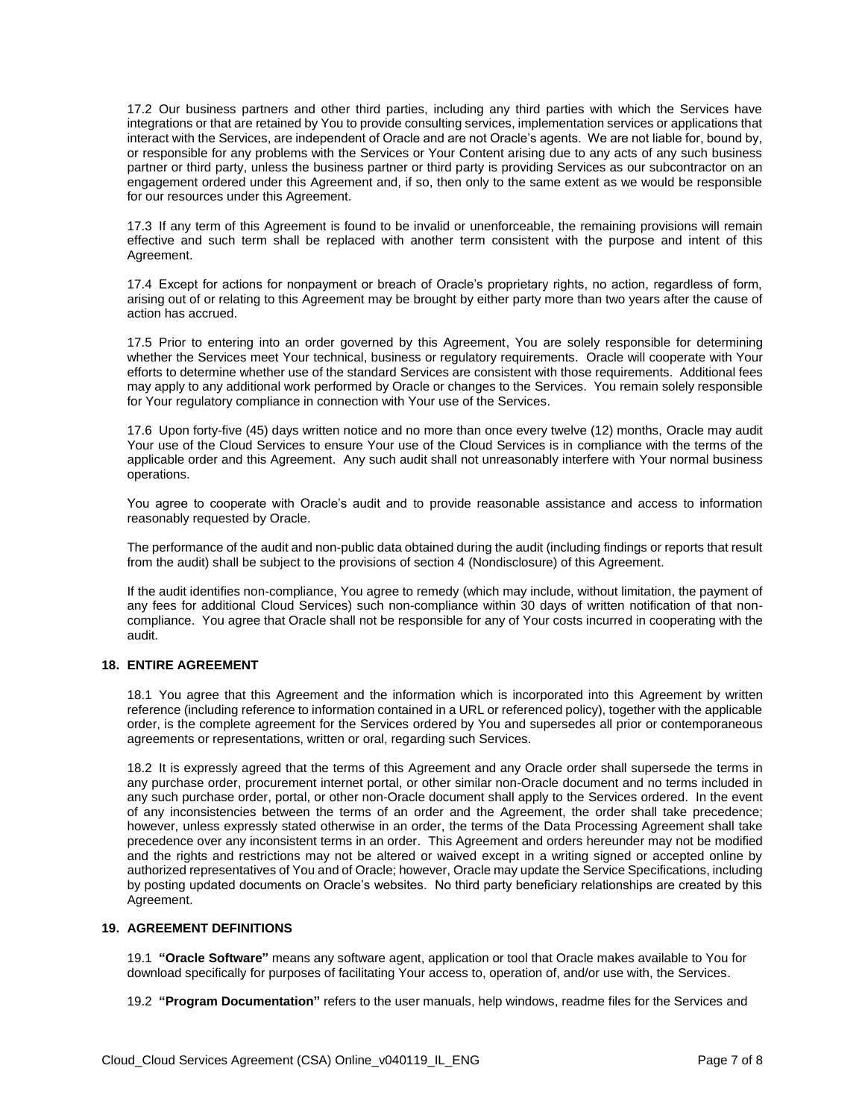17.2 Our business partners and other third parties, including any third parties with which the Services have integrations or that are retained by You to provide consulting services, implementation services or applications that interact with the Services, are independent of Oracle and are not Oracle's agents. We are not liable for, bound by, or responsible for any problems with the Services or Your Content arising due to any acts of any such business partner or third party, unless the business partner or third party is providing Services as our subcontractor on an engagement ordered under this Agreement and, if so, then only to the same extent as we would be responsible for our resources under this Agreement.

17.3 If any term of this Agreement is found to be invalid or unenforceable, the remaining provisions will remain effective and such term shall be replaced with another term consistent with the purpose and intent of this Agreement.

17.4 Except for actions for nonpayment or breach of Oracle's proprietary rights, no action, regardless of form, arising out of or relating to this Agreement may be brought by either party more than two years after the cause of action has accrued.

17.5 Prior to entering into an order governed by this Agreement, You are solely responsible for determining whether the Services meet Your technical, business or regulatory requirements. Oracle will cooperate with Your efforts to determine whether use of the standard Services are consistent with those requirements. Additional fees may apply to any additional work performed by Oracle or changes to the Services. You remain solely responsible for Your regulatory compliance in connection with Your use of the Services.

17.6 Upon forty-five (45) days written notice and no more than once every twelve (12) months, Oracle may audit Your use of the Cloud Services to ensure Your use of the Cloud Services is in compliance with the terms of the applicable order and this Agreement. Any such audit shall not unreasonably interfere with Your normal business operations.

You agree to cooperate with Oracle's audit and to provide reasonable assistance and access to information reasonably requested by Oracle.

The performance of the audit and non-public data obtained during the audit (including findings or reports that result from the audit) shall be subject to the provisions of section 4 (Nondisclosure) of this Agreement.

If the audit identifies non-compliance, You agree to remedy (which may include, without limitation, the payment of any fees for additional Cloud Services) such non-compliance within 30 days of written notification of that noncompliance. You agree that Oracle shall not be responsible for any of Your costs incurred in cooperating with the audit.

#### **18. ENTIRE AGREEMENT**

18.1 You agree that this Agreement and the information which is incorporated into this Agreement by written reference (including reference to information contained in a URL or referenced policy), together with the applicable order, is the complete agreement for the Services ordered by You and supersedes all prior or contemporaneous agreements or representations, written or oral, regarding such Services.

18.2 It is expressly agreed that the terms of this Agreement and any Oracle order shall supersede the terms in any purchase order, procurement internet portal, or other similar non-Oracle document and no terms included in any such purchase order, portal, or other non-Oracle document shall apply to the Services ordered. In the event of any inconsistencies between the terms of an order and the Agreement, the order shall take precedence; however, unless expressly stated otherwise in an order, the terms of the Data Processing Agreement shall take precedence over any inconsistent terms in an order. This Agreement and orders hereunder may not be modified and the rights and restrictions may not be altered or waived except in a writing signed or accepted online by authorized representatives of You and of Oracle; however, Oracle may update the Service Specifications, including by posting updated documents on Oracle's websites. No third party beneficiary relationships are created by this Agreement.

#### **19. AGREEMENT DEFINITIONS**

19.1 **"Oracle Software"** means any software agent, application or tool that Oracle makes available to You for download specifically for purposes of facilitating Your access to, operation of, and/or use with, the Services.

19.2 **"Program Documentation"** refers to the user manuals, help windows, readme files for the Services and